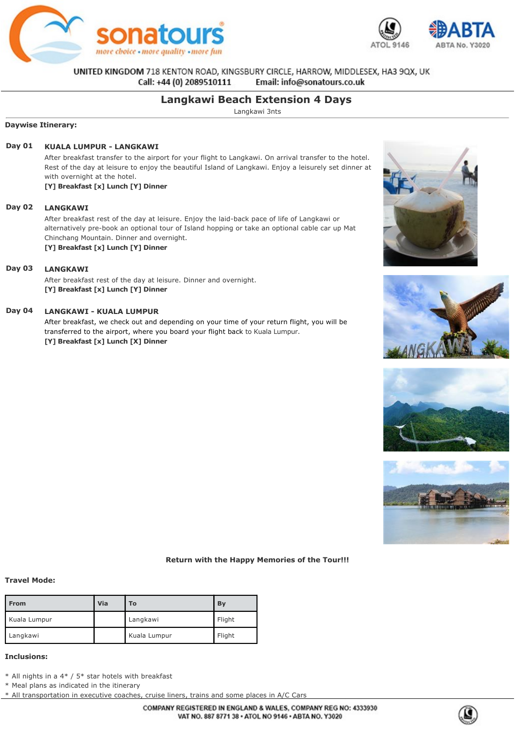



UNITED KINGDOM 718 KENTON ROAD, KINGSBURY CIRCLE, HARROW, MIDDLESEX, HA3 9QX, UK Email: info@sonatours.co.uk Call: +44 (0) 2089510111

# **Langkawi Beach Extension 4 Days**

Langkawi 3nts

### **Daywise Itinerary:**

## **Day 01 KUALA LUMPUR LANGKAWI**

After breakfast transfer to the airport for your flight to Langkawi. On arrival transfer to the hotel. Rest of the day at leisure to enjoy the beautiful Island of Langkawi. Enjoy a leisurely set dinner at with overnight at the hotel.

**[Y] Breakfast [x] Lunch [Y] Dinner**

## **Day 02 LANGKAWI**

After breakfast rest of the day at leisure. Enjoy the laid-back pace of life of Langkawi or alternatively pre-book an optional tour of Island hopping or take an optional cable car up Mat Chinchang Mountain. Dinner and overnight.

**[Y] Breakfast [x] Lunch [Y] Dinner**

## **Day 03 LANGKAWI**

After breakfast rest of the day at leisure. Dinner and overnight. **[Y] Breakfast [x] Lunch [Y] Dinner**

### **Day 04 LANGKAWI - KUALA LUMPUR**

After breakfast, we check out and depending on your time of your return flight, you will be transferred to the airport, where you board your flight back to Kuala Lumpur. **[Y] Breakfast [x] Lunch [X] Dinner**









#### **Return with the Happy Memories of the Tour!!!**

#### **Travel Mode:**

| <b>From</b>  | Via | To           | By     |
|--------------|-----|--------------|--------|
| Kuala Lumpur |     | Langkawi     | Flight |
| Langkawi     |     | Kuala Lumpur | Flight |

### **Inclusions:**

\* All nights in a 4\* / 5\* star hotels with breakfast

\* Meal plans as indicated in the itinerary

\* All transportation in executive coaches, cruise liners, trains and some places in A/C Cars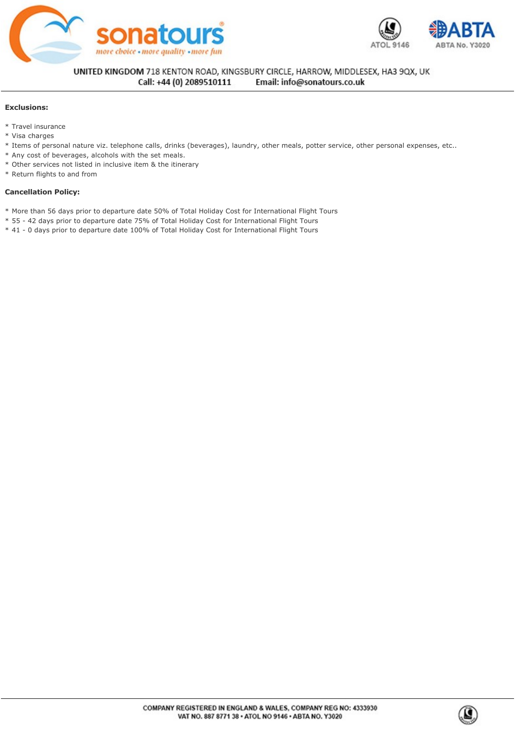



UNITED KINGDOM 718 KENTON ROAD, KINGSBURY CIRCLE, HARROW, MIDDLESEX, HA3 9QX, UK  $\mathcal{M} = \{ \mathcal{M} \mid \mathcal{M} \neq \emptyset \}$  $\mathbf{r}$  all transportation in executive coaches, cruise lines in A/C  $\alpha$ 

### **Exclusions:**

- \* Travel insurance
- \* Visa charges
- \* Items of personal nature viz. telephone calls, drinks (beverages), laundry, other meals, potter service, other personal expenses, etc..
- \* Any cost of beverages, alcohols with the set meals.
- \* Other services not listed in inclusive item & the itinerary
- \* Return flights to and from

### **Cancellation Policy:**

- \* More than 56 days prior to departure date 50% of Total Holiday Cost for International Flight Tours
- \* 55 42 days prior to departure date 75% of Total Holiday Cost for International Flight Tours
- \* 41 0 days prior to departure date 100% of Total Holiday Cost for International Flight Tours

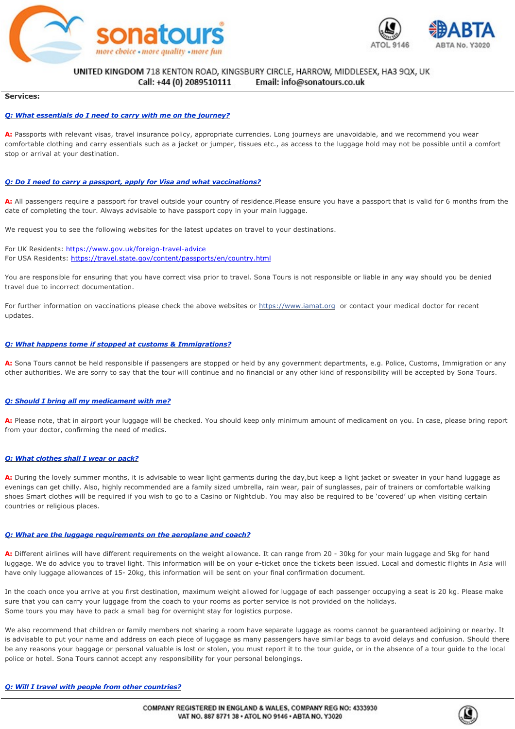



### UNITED KINGDOM 718 KENTON ROAD, KINGSBURY CIRCLE, HARROW, MIDDLESEX, HA3 9QX, UK \* 41 0 days prior to departure date 100% of Total Holiday Cost for International Flight Tours

#### **Services:**

#### *Q: What essentials do I need to carry with me on the journey?*

A: Passports with relevant visas, travel insurance policy, appropriate currencies. Long journeys are unavoidable, and we recommend you wear comfortable clothing and carry essentials such as a jacket or jumper, tissues etc., as access to the luggage hold may not be possible until a comfort stop or arrival at your destination.

#### *Q: Do I need to carry a passport, apply for Visa and what vaccinations?*

A: All passengers require a passport for travel outside your country of residence.Please ensure you have a passport that is valid for 6 months from the date of completing the tour. Always advisable to have passport copy in your main luggage.

We request you to see the following websites for the latest updates on travel to your destinations.

For UK Residents: https://www.gov.uk/foreign-travel-advice For USA Residents:<https://travel.state.gov/content/passports/en/country.html>

You are responsible for ensuring that you have correct visa prior to travel. Sona Tours is not responsible or liable in any way should you be denied travel due to incorrect documentation.

For further information on vaccinations please check the above websites or https://www.iamat.org or contact your medical doctor for recent updates.

#### *Q: What happens tome if stopped at customs & Immigrations?*

A: Sona Tours cannot be held responsible if passengers are stopped or held by any government departments, e.g. Police, Customs, Immigration or any other authorities. We are sorry to say that the tour will continue and no financial or any other kind of responsibility will be accepted by Sona Tours.

### *Q: Should I bring all my medicament with me?*

**A:** Please note, that in airport your luggage will be checked. You should keep only minimum amount of medicament on you. In case, please bring report from your doctor, confirming the need of medics.

#### *Q: What clothes shall I wear or pack?*

**A:** During the lovely summer months, it is advisable to wear light garments during the day,but keep a light jacket or sweater in your hand luggage as evenings can get chilly. Also, highly recommended are a family sized umbrella, rain wear, pair of sunglasses, pair of trainers or comfortable walking shoes Smart clothes will be required if you wish to go to a Casino or Nightclub. You may also be required to be 'covered' up when visiting certain countries or religious places.

#### *Q: What are the luggage requirements on the aeroplane and coach?*

A: Different airlines will have different requirements on the weight allowance. It can range from 20 - 30kg for your main luggage and 5kg for hand luggage. We do advice you to travel light. This information will be on your e-ticket once the tickets been issued. Local and domestic flights in Asia will have only luggage allowances of 15-20kg, this information will be sent on your final confirmation document.

In the coach once you arrive at you first destination, maximum weight allowed for luggage of each passenger occupying a seat is 20 kg. Please make sure that you can carry your luggage from the coach to your rooms as porter service is not provided on the holidays. Some tours you may have to pack a small bag for overnight stay for logistics purpose.

We also recommend that children or family members not sharing a room have separate luggage as rooms cannot be guaranteed adjoining or nearby. It is advisable to put your name and address on each piece of luggage as many passengers have similar bags to avoid delays and confusion. Should there be any reasons your baggage or personal valuable is lost or stolen, you must report it to the tour guide, or in the absence of a tour guide to the local police or hotel. Sona Tours cannot accept any responsibility for your personal belongings.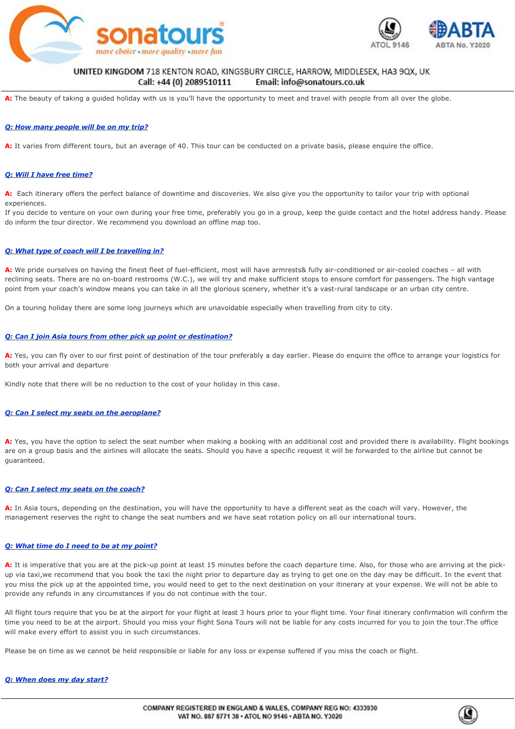



#### UNITED KINGDOM 718 KENTON ROAD, KINGSBURY CIRCLE, HARROW, MIDDLESEX, HA3 9QX, UK Email: info@sonatours.co.uk *Q: Will I travel with people from other countries?*

A: The beauty of taking a guided holiday with us is you'll have the opportunity to meet and travel with people from all over the globe.

### *Q: How many people will be on my trip?*

**A:** It varies from different tours, but an average of 40. This tour can be conducted on a private basis, please enquire the office.

### *Q: Will I have free time?*

A: Each itinerary offers the perfect balance of downtime and discoveries. We also give you the opportunity to tailor your trip with optional experiences.

If you decide to venture on your own during your free time, preferably you go in a group, keep the guide contact and the hotel address handy. Please do inform the tour director. We recommend you download an offline map too.

### *Q: What type of coach will I be travelling in?*

A: We pride ourselves on having the finest fleet of fuel-efficient, most will have armrests& fully air-conditioned or air-cooled coaches - all with reclining seats. There are no on-board restrooms (W.C.), we will try and make sufficient stops to ensure comfort for passengers. The high vantage point from your coach's window means you can take in all the glorious scenery, whether it's a vast-rural landscape or an urban city centre.

On a touring holiday there are some long journeys which are unavoidable especially when travelling from city to city.

#### *Q: Can I join Asia tours from other pick up point or destination?*

A: Yes, you can fly over to our first point of destination of the tour preferably a day earlier. Please do enquire the office to arrange your logistics for both your arrival and departure

Kindly note that there will be no reduction to the cost of your holiday in this case.

#### *Q: Can I select my seats on the aeroplane?*

**A:** Yes, you have the option to select the seat number when making a booking with an additional cost and provided there is availability. Flight bookings are on a group basis and the airlines will allocate the seats. Should you have a specific request it will be forwarded to the airline but cannot be guaranteed.

#### *Q: Can I select my seats on the coach?*

**A:** In Asia tours, depending on the destination, you will have the opportunity to have a different seat as the coach will vary. However, the management reserves the right to change the seat numbers and we have seat rotation policy on all our international tours.

#### *Q: What time do I need to be at my point?*

A: It is imperative that you are at the pick-up point at least 15 minutes before the coach departure time. Also, for those who are arriving at the pickup via taxi,we recommend that you book the taxi the night prior to departure day as trying to get one on the day may be difficult. In the event that you miss the pick up at the appointed time, you would need to get to the next destination on your itinerary at your expense. We will not be able to provide any refunds in any circumstances if you do not continue with the tour.

All flight tours require that you be at the airport for your flight at least 3 hours prior to your flight time. Your final itinerary confirmation will confirm the time you need to be at the airport. Should you miss your flight Sona Tours will not be liable for any costs incurred for you to join the tour.The office will make every effort to assist you in such circumstances.

Please be on time as we cannot be held responsible or liable for any loss or expense suffered if you miss the coach or flight.

#### *Q: When does my day start?*

**A:** The day usually starts between 8 & 9am. Further instructions you will be given the night before. However, this may differ when having an early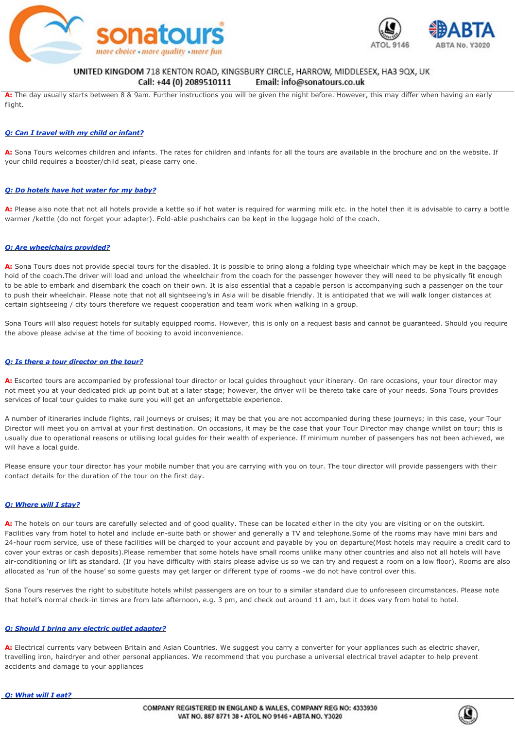



### UNITED KINGDOM 718 KENTON ROAD, KINGSBURY CIRCLE, HARROW, MIDDLESEX, HA3 9QX, UK Email: info@sonatours.co.uk

Call: +44 (0) 2089510111

**A:** The day usually starts between 8 & 9am. Further instructions you will be given the night before. However, this may differ when having an early flight.

### *Q: Can I travel with my child or infant?*

A: Sona Tours welcomes children and infants. The rates for children and infants for all the tours are available in the brochure and on the website. If your child requires a booster/child seat, please carry one.

### *Q: Do hotels have hot water for my baby?*

**A:** Please also note that not all hotels provide a kettle so if hot water is required for warming milk etc. in the hotel then it is advisable to carry a bottle warmer /kettle (do not forget your adapter). Fold-able pushchairs can be kept in the luggage hold of the coach.

#### *Q: Are wheelchairs provided?*

A: Sona Tours does not provide special tours for the disabled. It is possible to bring along a folding type wheelchair which may be kept in the baggage hold of the coach.The driver will load and unload the wheelchair from the coach for the passenger however they will need to be physically fit enough to be able to embark and disembark the coach on their own. It is also essential that a capable person is accompanying such a passenger on the tour to push their wheelchair. Please note that not all sightseeing's in Asia will be disable friendly. It is anticipated that we will walk longer distances at certain sightseeing / city tours therefore we request cooperation and team work when walking in a group.

Sona Tours will also request hotels for suitably equipped rooms. However, this is only on a request basis and cannot be quaranteed. Should you require the above please advise at the time of booking to avoid inconvenience.

### *Q: Is there a tour director on the tour?*

**A:** Escorted tours are accompanied by professional tour director or local guides throughout your itinerary. On rare occasions, your tour director may not meet you at your dedicated pick up point but at a later stage; however, the driver will be thereto take care of your needs. Sona Tours provides services of local tour guides to make sure you will get an unforgettable experience.

A number of itineraries include flights, rail journeys or cruises; it may be that you are not accompanied during these journeys; in this case, your Tour Director will meet you on arrival at your first destination. On occasions, it may be the case that your Tour Director may change whilst on tour; this is usually due to operational reasons or utilising local guides for their wealth of experience. If minimum number of passengers has not been achieved, we will have a local guide.

Please ensure your tour director has your mobile number that you are carrying with you on tour. The tour director will provide passengers with their contact details for the duration of the tour on the first day.

### *Q: Where will I stay?*

A: The hotels on our tours are carefully selected and of good quality. These can be located either in the city you are visiting or on the outskirt. Facilities vary from hotel to hotel and include en-suite bath or shower and generally a TV and telephone.Some of the rooms may have mini bars and 24hour room service, use of these facilities will be charged to your account and payable by you on departure(Most hotels may require a credit card to cover your extras or cash deposits).Please remember that some hotels have small rooms unlike many other countries and also not all hotels will have air-conditioning or lift as standard. (If you have difficulty with stairs please advise us so we can try and request a room on a low floor). Rooms are also allocated as 'run of the house' so some guests may get larger or different type of rooms -we do not have control over this.

Sona Tours reserves the right to substitute hotels whilst passengers are on tour to a similar standard due to unforeseen circumstances. Please note that hotel's normal check-in times are from late afternoon, e.g. 3 pm, and check out around 11 am, but it does vary from hotel to hotel.

#### *Q: Should I bring any electric outlet adapter?*

A: Electrical currents vary between Britain and Asian Countries. We suggest you carry a converter for your appliances such as electric shaver, travelling iron, hairdryer and other personal appliances. We recommend that you purchase a universal electrical travel adapter to help prevent accidents and damage to your appliances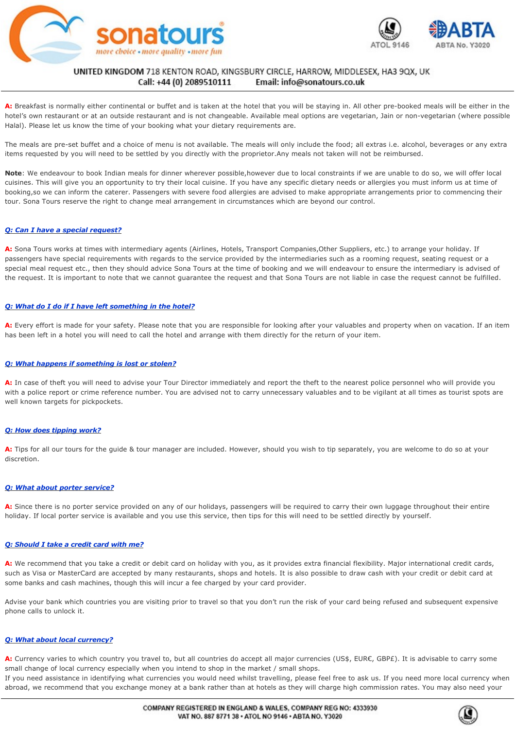



#### UNITED KINGDOM 718 KENTON ROAD, KINGSBURY CIRCLE, HARROW, MIDDLESEX, HA3 9QX, UK Call: +44 (0) 2089510111 Email: info@sonatours.co.uk *Q: What will I eat?*

A: Breakfast is normally either continental or buffet and is taken at the hotel that you will be staying in. All other pre-booked meals will be either in the hotel's own restaurant or at an outside restaurant and is not changeable. Available meal options are vegetarian, Jain or non-vegetarian (where possible Halal). Please let us know the time of your booking what your dietary requirements are.

The meals are pre-set buffet and a choice of menu is not available. The meals will only include the food; all extras i.e. alcohol, beverages or any extra items requested by you will need to be settled by you directly with the proprietor.Any meals not taken will not be reimbursed.

**Note**: We endeavour to book Indian meals for dinner wherever possible,however due to local constraints if we are unable to do so, we will offer local cuisines. This will give you an opportunity to try their local cuisine. If you have any specific dietary needs or allergies you must inform us at time of booking,so we can inform the caterer. Passengers with severe food allergies are advised to make appropriate arrangements prior to commencing their tour. Sona Tours reserve the right to change meal arrangement in circumstances which are beyond our control.

### *Q: Can I have a special request?*

**A:** Sona Tours works at times with intermediary agents (Airlines, Hotels, Transport Companies,Other Suppliers, etc.) to arrange your holiday. If passengers have special requirements with regards to the service provided by the intermediaries such as a rooming request, seating request or a special meal request etc., then they should advice Sona Tours at the time of booking and we will endeavour to ensure the intermediary is advised of the request. It is important to note that we cannot guarantee the request and that Sona Tours are not liable in case the request cannot be fulfilled.

### *Q: What do I do if I have left something in the hotel?*

**A:** Every effort is made for your safety. Please note that you are responsible for looking after your valuables and property when on vacation. If an item has been left in a hotel you will need to call the hotel and arrange with them directly for the return of your item.

### *Q: What happens if something is lost or stolen?*

A: In case of theft you will need to advise your Tour Director immediately and report the theft to the nearest police personnel who will provide you with a police report or crime reference number. You are advised not to carry unnecessary valuables and to be vigilant at all times as tourist spots are well known targets for pickpockets.

### *Q: How does tipping work?*

A: Tips for all our tours for the guide & tour manager are included. However, should you wish to tip separately, you are welcome to do so at your discretion.

### *Q: What about porter service?*

A: Since there is no porter service provided on any of our holidays, passengers will be required to carry their own luggage throughout their entire holiday. If local porter service is available and you use this service, then tips for this will need to be settled directly by yourself.

### *Q: Should I take a credit card with me?*

**A:** We recommend that you take a credit or debit card on holiday with you, as it provides extra financial flexibility. Major international credit cards, such as Visa or MasterCard are accepted by many restaurants, shops and hotels. It is also possible to draw cash with your credit or debit card at some banks and cash machines, though this will incur a fee charged by your card provider.

Advise your bank which countries you are visiting prior to travel so that you don't run the risk of your card being refused and subsequent expensive phone calls to unlock it.

### *Q: What about local currency?*

**A:** Currency varies to which country you travel to, but all countries do accept all major currencies (US\$, EUR€, GBP£). It is advisable to carry some small change of local currency especially when you intend to shop in the market / small shops.

passport for identification as you would for traveller's cheques. Even though in Asia credit and debit cards are widely accepted, keep in mind the

If you need assistance in identifying what currencies you would need whilst travelling, please feel free to ask us. If you need more local currency when abroad, we recommend that you exchange money at a bank rather than at hotels as they will charge high commission rates. You may also need your